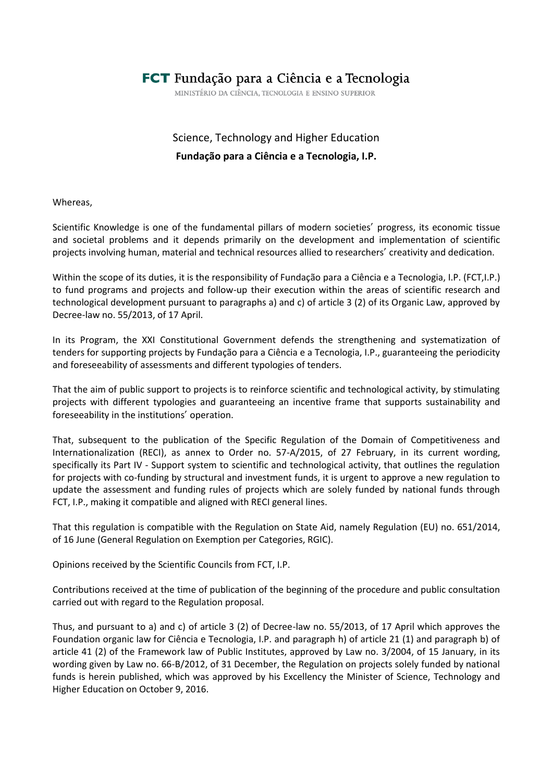# FCT Fundação para a Ciência e a Tecnologia

MINISTÉRIO DA CIÊNCIA, TECNOLOGIA E ENSINO SUPERIOR

# Science, Technology and Higher Education **Fundação para a Ciência e a Tecnologia, I.P.**

Whereas,

Scientific Knowledge is one of the fundamental pillars of modern societies' progress, its economic tissue and societal problems and it depends primarily on the development and implementation of scientific projects involving human, material and technical resources allied to researchers' creativity and dedication.

Within the scope of its duties, it is the responsibility of Fundação para a Ciência e a Tecnologia, I.P. (FCT,I.P.) to fund programs and projects and follow-up their execution within the areas of scientific research and technological development pursuant to paragraphs a) and c) of article 3 (2) of its Organic Law, approved by Decree-law no. 55/2013, of 17 April.

In its Program, the XXI Constitutional Government defends the strengthening and systematization of tenders for supporting projects by Fundação para a Ciência e a Tecnologia, I.P., guaranteeing the periodicity and foreseeability of assessments and different typologies of tenders.

That the aim of public support to projects is to reinforce scientific and technological activity, by stimulating projects with different typologies and guaranteeing an incentive frame that supports sustainability and foreseeability in the institutions' operation.

That, subsequent to the publication of the Specific Regulation of the Domain of Competitiveness and Internationalization (RECI), as annex to Order no. 57-A/2015, of 27 February, in its current wording, specifically its Part IV - Support system to scientific and technological activity, that outlines the regulation for projects with co-funding by structural and investment funds, it is urgent to approve a new regulation to update the assessment and funding rules of projects which are solely funded by national funds through FCT, I.P., making it compatible and aligned with RECI general lines.

That this regulation is compatible with the Regulation on State Aid, namely Regulation (EU) no. 651/2014, of 16 June (General Regulation on Exemption per Categories, RGIC).

Opinions received by the Scientific Councils from FCT, I.P.

Contributions received at the time of publication of the beginning of the procedure and public consultation carried out with regard to the Regulation proposal.

Thus, and pursuant to a) and c) of article 3 (2) of Decree-law no. 55/2013, of 17 April which approves the Foundation organic law for Ciência e Tecnologia, I.P. and paragraph h) of article 21 (1) and paragraph b) of article 41 (2) of the Framework law of Public Institutes, approved by Law no. 3/2004, of 15 January, in its wording given by Law no. 66-B/2012, of 31 December, the Regulation on projects solely funded by national funds is herein published, which was approved by his Excellency the Minister of Science, Technology and Higher Education on October 9, 2016.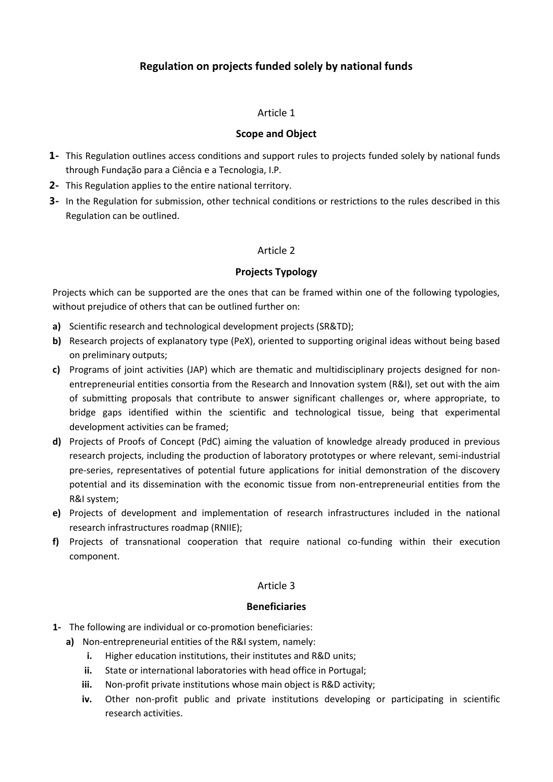# **Regulation on projects funded solely by national funds**

#### Article 1

#### **Scope and Object**

- **1-** This Regulation outlines access conditions and support rules to projects funded solely by national funds through Fundação para a Ciência e a Tecnologia, I.P*.*
- **2-** This Regulation applies to the entire national territory.
- **3-** In the Regulation for submission, other technical conditions or restrictions to the rules described in this Regulation can be outlined.

## Article 2

#### **Projects Typology**

Projects which can be supported are the ones that can be framed within one of the following typologies, without prejudice of others that can be outlined further on:

- **a)** Scientific research and technological development projects (SR&TD);
- **b)** Research projects of explanatory type (PeX), oriented to supporting original ideas without being based on preliminary outputs;
- **c)** Programs of joint activities (JAP) which are thematic and multidisciplinary projects designed for nonentrepreneurial entities consortia from the Research and Innovation system (R&I), set out with the aim of submitting proposals that contribute to answer significant challenges or, where appropriate, to bridge gaps identified within the scientific and technological tissue, being that experimental development activities can be framed;
- **d)** Projects of Proofs of Concept (PdC) aiming the valuation of knowledge already produced in previous research projects, including the production of laboratory prototypes or where relevant, semi-industrial pre-series, representatives of potential future applications for initial demonstration of the discovery potential and its dissemination with the economic tissue from non-entrepreneurial entities from the R&I system;
- **e)** Projects of development and implementation of research infrastructures included in the national research infrastructures roadmap (RNIIE);
- **f)** Projects of transnational cooperation that require national co-funding within their execution component.

#### Article 3

#### **Beneficiaries**

- **1-** The following are individual or co-promotion beneficiaries:
	- **a)** Non-entrepreneurial entities of the R&I system, namely:
		- **i.** Higher education institutions, their institutes and R&D units;
		- **ii.** State or international laboratories with head office in Portugal;
		- **iii.** Non-profit private institutions whose main object is R&D activity;
		- **iv.** Other non-profit public and private institutions developing or participating in scientific research activities.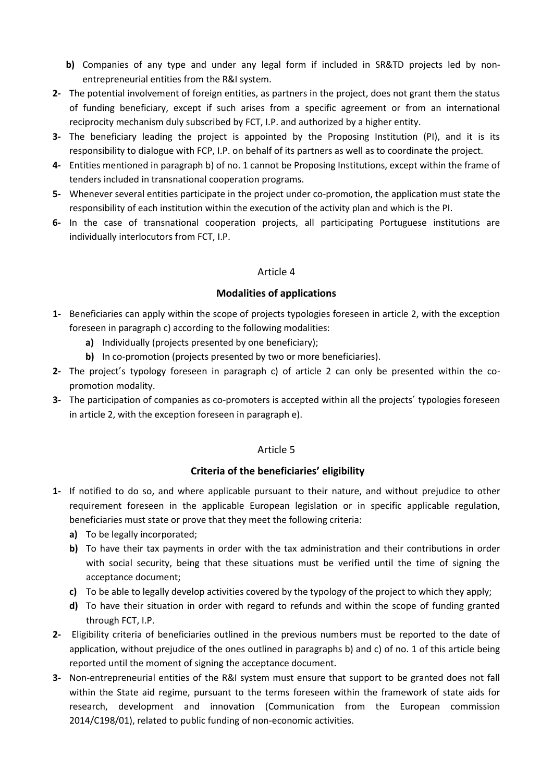- **b)** Companies of any type and under any legal form if included in SR&TD projects led by nonentrepreneurial entities from the R&I system.
- **2-** The potential involvement of foreign entities, as partners in the project, does not grant them the status of funding beneficiary, except if such arises from a specific agreement or from an international reciprocity mechanism duly subscribed by FCT, I.P. and authorized by a higher entity.
- **3-** The beneficiary leading the project is appointed by the Proposing Institution (PI), and it is its responsibility to dialogue with FCP, I.P. on behalf of its partners as well as to coordinate the project.
- **4-** Entities mentioned in paragraph b) of no. 1 cannot be Proposing Institutions, except within the frame of tenders included in transnational cooperation programs.
- **5-** Whenever several entities participate in the project under co-promotion, the application must state the responsibility of each institution within the execution of the activity plan and which is the PI.
- **6-** In the case of transnational cooperation projects, all participating Portuguese institutions are individually interlocutors from FCT, I.P.

## **Modalities of applications**

- **1-** Beneficiaries can apply within the scope of projects typologies foreseen in article 2, with the exception foreseen in paragraph c) according to the following modalities:
	- **a)** Individually (projects presented by one beneficiary);
	- **b)** In co-promotion (projects presented by two or more beneficiaries).
- **2-** The project's typology foreseen in paragraph c) of article 2 can only be presented within the copromotion modality.
- **3-** The participation of companies as co-promoters is accepted within all the projects' typologies foreseen in article 2, with the exception foreseen in paragraph e).

## Article 5

# **Criteria of the beneficiaries' eligibility**

- **1-** If notified to do so, and where applicable pursuant to their nature, and without prejudice to other requirement foreseen in the applicable European legislation or in specific applicable regulation, beneficiaries must state or prove that they meet the following criteria:
	- **a)** To be legally incorporated;
	- **b)** To have their tax payments in order with the tax administration and their contributions in order with social security, being that these situations must be verified until the time of signing the acceptance document;
	- **c)** To be able to legally develop activities covered by the typology of the project to which they apply;
	- **d)** To have their situation in order with regard to refunds and within the scope of funding granted through FCT, I.P.
- **2-** Eligibility criteria of beneficiaries outlined in the previous numbers must be reported to the date of application, without prejudice of the ones outlined in paragraphs b) and c) of no. 1 of this article being reported until the moment of signing the acceptance document.
- **3-** Non-entrepreneurial entities of the R&I system must ensure that support to be granted does not fall within the State aid regime, pursuant to the terms foreseen within the framework of state aids for research, development and innovation (Communication from the European commission 2014/C198/01), related to public funding of non-economic activities.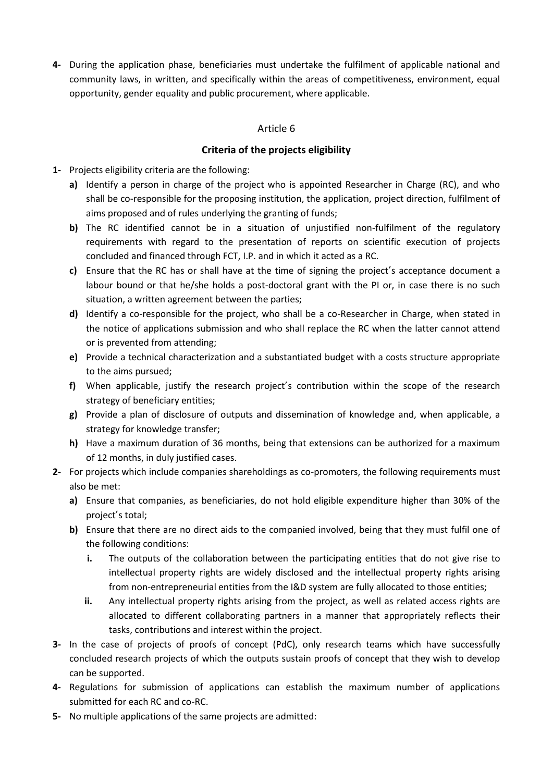**4-** During the application phase, beneficiaries must undertake the fulfilment of applicable national and community laws, in written, and specifically within the areas of competitiveness, environment, equal opportunity, gender equality and public procurement, where applicable.

## Article 6

#### **Criteria of the projects eligibility**

- **1-** Projects eligibility criteria are the following:
	- **a)** Identify a person in charge of the project who is appointed Researcher in Charge (RC), and who shall be co-responsible for the proposing institution, the application, project direction, fulfilment of aims proposed and of rules underlying the granting of funds;
	- **b)** The RC identified cannot be in a situation of unjustified non-fulfilment of the regulatory requirements with regard to the presentation of reports on scientific execution of projects concluded and financed through FCT, I.P. and in which it acted as a RC.
	- **c)** Ensure that the RC has or shall have at the time of signing the project's acceptance document a labour bound or that he/she holds a post-doctoral grant with the PI or, in case there is no such situation, a written agreement between the parties;
	- **d)** Identify a co-responsible for the project, who shall be a co-Researcher in Charge, when stated in the notice of applications submission and who shall replace the RC when the latter cannot attend or is prevented from attending;
	- **e)** Provide a technical characterization and a substantiated budget with a costs structure appropriate to the aims pursued;
	- **f)** When applicable, justify the research project's contribution within the scope of the research strategy of beneficiary entities;
	- **g)** Provide a plan of disclosure of outputs and dissemination of knowledge and, when applicable, a strategy for knowledge transfer;
	- **h)** Have a maximum duration of 36 months, being that extensions can be authorized for a maximum of 12 months, in duly justified cases.
- **2-** For projects which include companies shareholdings as co-promoters, the following requirements must also be met:
	- **a)** Ensure that companies, as beneficiaries, do not hold eligible expenditure higher than 30% of the project's total;
	- **b)** Ensure that there are no direct aids to the companied involved, being that they must fulfil one of the following conditions:
		- **i.** The outputs of the collaboration between the participating entities that do not give rise to intellectual property rights are widely disclosed and the intellectual property rights arising from non-entrepreneurial entities from the I&D system are fully allocated to those entities;
		- **ii.** Any intellectual property rights arising from the project, as well as related access rights are allocated to different collaborating partners in a manner that appropriately reflects their tasks, contributions and interest within the project.
- **3-** In the case of projects of proofs of concept (PdC), only research teams which have successfully concluded research projects of which the outputs sustain proofs of concept that they wish to develop can be supported.
- **4-** Regulations for submission of applications can establish the maximum number of applications submitted for each RC and co-RC.
- **5-** No multiple applications of the same projects are admitted: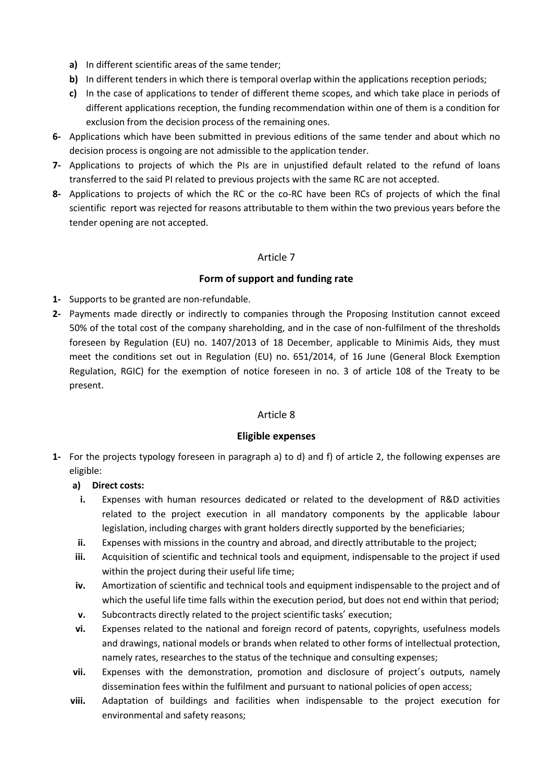- **a)** In different scientific areas of the same tender;
- **b)** In different tenders in which there is temporal overlap within the applications reception periods;
- **c)** In the case of applications to tender of different theme scopes, and which take place in periods of different applications reception, the funding recommendation within one of them is a condition for exclusion from the decision process of the remaining ones.
- **6-** Applications which have been submitted in previous editions of the same tender and about which no decision process is ongoing are not admissible to the application tender.
- **7-** Applications to projects of which the PIs are in unjustified default related to the refund of loans transferred to the said PI related to previous projects with the same RC are not accepted.
- **8-** Applications to projects of which the RC or the co-RC have been RCs of projects of which the final scientific report was rejected for reasons attributable to them within the two previous years before the tender opening are not accepted.

# **Form of support and funding rate**

- **1-** Supports to be granted are non-refundable.
- **2-** Payments made directly or indirectly to companies through the Proposing Institution cannot exceed 50% of the total cost of the company shareholding, and in the case of non-fulfilment of the thresholds foreseen by Regulation (EU) no. 1407/2013 of 18 December, applicable to Minimis Aids, they must meet the conditions set out in Regulation (EU) no. 651/2014, of 16 June (General Block Exemption Regulation, RGIC) for the exemption of notice foreseen in no. 3 of article 108 of the Treaty to be present.

# Article 8

# **Eligible expenses**

**1-** For the projects typology foreseen in paragraph a) to d) and f) of article 2, the following expenses are eligible:

# **a) Direct costs:**

- **i.** Expenses with human resources dedicated or related to the development of R&D activities related to the project execution in all mandatory components by the applicable labour legislation, including charges with grant holders directly supported by the beneficiaries;
- **ii.** Expenses with missions in the country and abroad, and directly attributable to the project;
- **iii.** Acquisition of scientific and technical tools and equipment, indispensable to the project if used within the project during their useful life time;
- **iv.** Amortization of scientific and technical tools and equipment indispensable to the project and of which the useful life time falls within the execution period, but does not end within that period;
- **v.** Subcontracts directly related to the project scientific tasks' execution;
- **vi.** Expenses related to the national and foreign record of patents, copyrights, usefulness models and drawings, national models or brands when related to other forms of intellectual protection, namely rates, researches to the status of the technique and consulting expenses;
- vii. Expenses with the demonstration, promotion and disclosure of project's outputs, namely dissemination fees within the fulfilment and pursuant to national policies of open access;
- **viii.** Adaptation of buildings and facilities when indispensable to the project execution for environmental and safety reasons;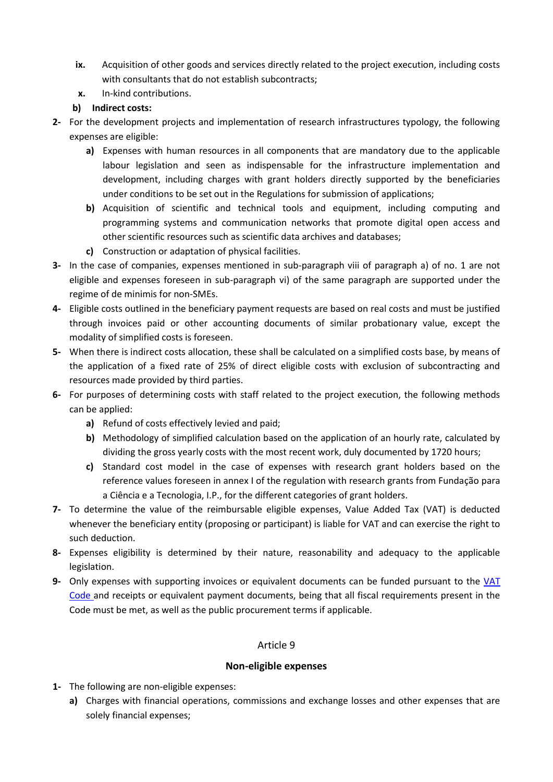- **ix.** Acquisition of other goods and services directly related to the project execution, including costs with consultants that do not establish subcontracts;
- **x.** In-kind contributions.

## **b) Indirect costs:**

- **2-** For the development projects and implementation of research infrastructures typology, the following expenses are eligible:
	- **a)** Expenses with human resources in all components that are mandatory due to the applicable labour legislation and seen as indispensable for the infrastructure implementation and development, including charges with grant holders directly supported by the beneficiaries under conditions to be set out in the Regulations for submission of applications;
	- **b)** Acquisition of scientific and technical tools and equipment, including computing and programming systems and communication networks that promote digital open access and other scientific resources such as scientific data archives and databases;
	- **c)** Construction or adaptation of physical facilities.
- **3-** In the case of companies, expenses mentioned in sub-paragraph viii of paragraph a) of no. 1 are not eligible and expenses foreseen in sub-paragraph vi) of the same paragraph are supported under the regime of de minimis for non-SMEs.
- **4-** Eligible costs outlined in the beneficiary payment requests are based on real costs and must be justified through invoices paid or other accounting documents of similar probationary value, except the modality of simplified costs is foreseen.
- **5-** When there is indirect costs allocation, these shall be calculated on a simplified costs base, by means of the application of a fixed rate of 25% of direct eligible costs with exclusion of subcontracting and resources made provided by third parties.
- **6-** For purposes of determining costs with staff related to the project execution, the following methods can be applied:
	- **a)** Refund of costs effectively levied and paid;
	- **b)** Methodology of simplified calculation based on the application of an hourly rate, calculated by dividing the gross yearly costs with the most recent work, duly documented by 1720 hours;
	- **c)** Standard cost model in the case of expenses with research grant holders based on the reference values foreseen in annex I of the regulation with research grants from Fundação para a Ciência e a Tecnologia, I.P., for the different categories of grant holders.
- **7-** To determine the value of the reimbursable eligible expenses, Value Added Tax (VAT) is deducted whenever the beneficiary entity (proposing or participant) is liable for VAT and can exercise the right to such deduction.
- **8-** Expenses eligibility is determined by their nature, reasonability and adequacy to the applicable legislation.
- **9-** Only expenses with supporting invoices or equivalent documents can be funded pursuant to the [VAT](http://info.portaldasfinancas.gov.pt/NR/rdonlyres/F2D26BAF-2908-482B-B666-F73C29E38A82/0/CIVA.pdf)  [Code](http://info.portaldasfinancas.gov.pt/NR/rdonlyres/F2D26BAF-2908-482B-B666-F73C29E38A82/0/CIVA.pdf) and receipts or equivalent payment documents, being that all fiscal requirements present in the Code must be met, as well as the public procurement terms if applicable.

## Article 9

## **Non-eligible expenses**

- **1-** The following are non-eligible expenses:
	- **a)** Charges with financial operations, commissions and exchange losses and other expenses that are solely financial expenses;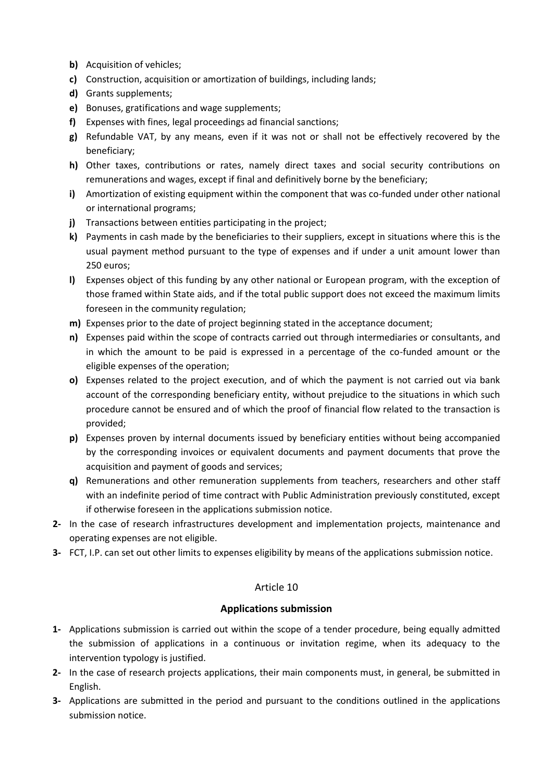- **b)** Acquisition of vehicles;
- **c)** Construction, acquisition or amortization of buildings, including lands;
- **d)** Grants supplements;
- **e)** Bonuses, gratifications and wage supplements;
- **f)** Expenses with fines, legal proceedings ad financial sanctions;
- **g)** Refundable VAT, by any means, even if it was not or shall not be effectively recovered by the beneficiary;
- **h)** Other taxes, contributions or rates, namely direct taxes and social security contributions on remunerations and wages, except if final and definitively borne by the beneficiary;
- **i)** Amortization of existing equipment within the component that was co-funded under other national or international programs;
- **j)** Transactions between entities participating in the project;
- **k)** Payments in cash made by the beneficiaries to their suppliers, except in situations where this is the usual payment method pursuant to the type of expenses and if under a unit amount lower than 250 euros;
- **l)** Expenses object of this funding by any other national or European program, with the exception of those framed within State aids, and if the total public support does not exceed the maximum limits foreseen in the community regulation;
- **m)** Expenses prior to the date of project beginning stated in the acceptance document;
- **n)** Expenses paid within the scope of contracts carried out through intermediaries or consultants, and in which the amount to be paid is expressed in a percentage of the co-funded amount or the eligible expenses of the operation;
- **o)** Expenses related to the project execution, and of which the payment is not carried out via bank account of the corresponding beneficiary entity, without prejudice to the situations in which such procedure cannot be ensured and of which the proof of financial flow related to the transaction is provided;
- **p)** Expenses proven by internal documents issued by beneficiary entities without being accompanied by the corresponding invoices or equivalent documents and payment documents that prove the acquisition and payment of goods and services;
- **q)** Remunerations and other remuneration supplements from teachers, researchers and other staff with an indefinite period of time contract with Public Administration previously constituted, except if otherwise foreseen in the applications submission notice.
- **2-** In the case of research infrastructures development and implementation projects, maintenance and operating expenses are not eligible.
- **3-** FCT, I.P. can set out other limits to expenses eligibility by means of the applications submission notice.

## **Applications submission**

- **1-** Applications submission is carried out within the scope of a tender procedure, being equally admitted the submission of applications in a continuous or invitation regime, when its adequacy to the intervention typology is justified.
- **2-** In the case of research projects applications, their main components must, in general, be submitted in English.
- **3-** Applications are submitted in the period and pursuant to the conditions outlined in the applications submission notice.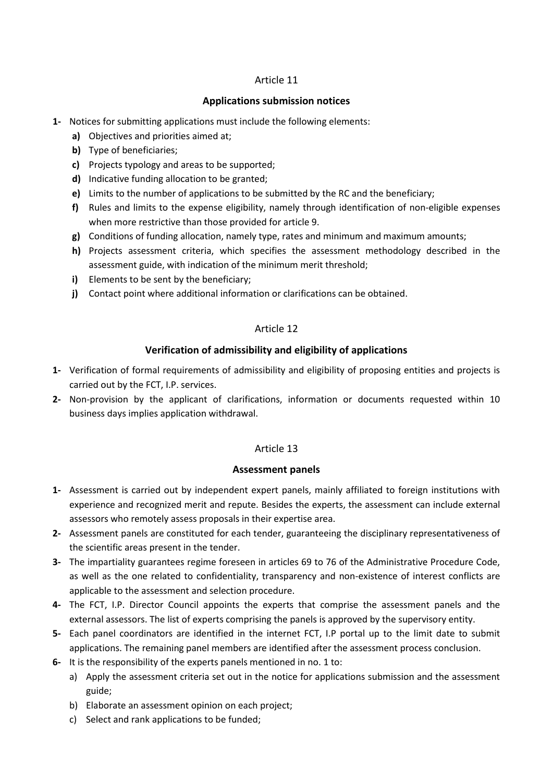## **Applications submission notices**

- **1-** Notices for submitting applications must include the following elements:
	- **a)** Objectives and priorities aimed at;
	- **b)** Type of beneficiaries;
	- **c)** Projects typology and areas to be supported;
	- **d)** Indicative funding allocation to be granted;
	- **e)** Limits to the number of applications to be submitted by the RC and the beneficiary;
	- **f)** Rules and limits to the expense eligibility, namely through identification of non-eligible expenses when more restrictive than those provided for article 9.
	- **g)** Conditions of funding allocation, namely type, rates and minimum and maximum amounts;
	- **h)** Projects assessment criteria, which specifies the assessment methodology described in the assessment guide, with indication of the minimum merit threshold;
	- **i)** Elements to be sent by the beneficiary;
	- **j)** Contact point where additional information or clarifications can be obtained.

## Article 12

## **Verification of admissibility and eligibility of applications**

- **1-** Verification of formal requirements of admissibility and eligibility of proposing entities and projects is carried out by the FCT, I.P. services.
- **2-** Non-provision by the applicant of clarifications, information or documents requested within 10 business days implies application withdrawal.

## Article 13

## **Assessment panels**

- **1-** Assessment is carried out by independent expert panels, mainly affiliated to foreign institutions with experience and recognized merit and repute. Besides the experts, the assessment can include external assessors who remotely assess proposals in their expertise area.
- **2-** Assessment panels are constituted for each tender, guaranteeing the disciplinary representativeness of the scientific areas present in the tender.
- **3-** The impartiality guarantees regime foreseen in articles 69 to 76 of the Administrative Procedure Code, as well as the one related to confidentiality, transparency and non-existence of interest conflicts are applicable to the assessment and selection procedure.
- **4-** The FCT, I.P. Director Council appoints the experts that comprise the assessment panels and the external assessors. The list of experts comprising the panels is approved by the supervisory entity.
- **5-** Each panel coordinators are identified in the internet FCT, I.P portal up to the limit date to submit applications. The remaining panel members are identified after the assessment process conclusion.
- **6-** It is the responsibility of the experts panels mentioned in no. 1 to:
	- a) Apply the assessment criteria set out in the notice for applications submission and the assessment guide;
	- b) Elaborate an assessment opinion on each project;
	- c) Select and rank applications to be funded;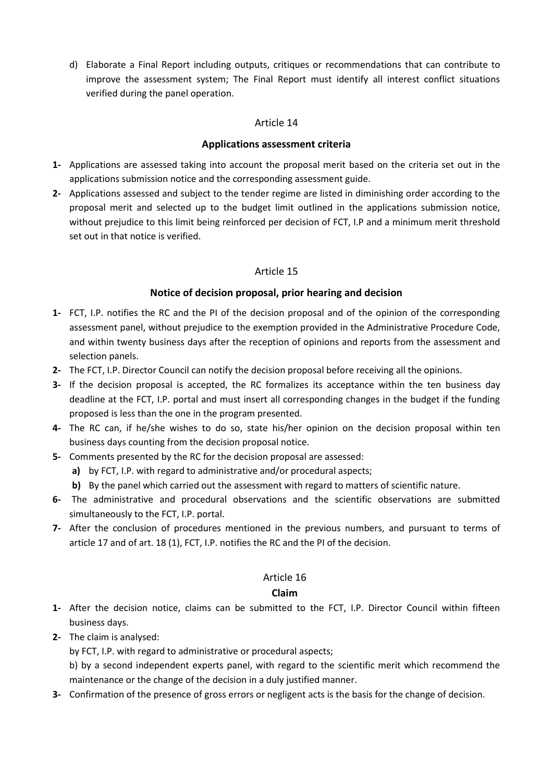d) Elaborate a Final Report including outputs, critiques or recommendations that can contribute to improve the assessment system; The Final Report must identify all interest conflict situations verified during the panel operation.

## Article 14

## **Applications assessment criteria**

- **1-** Applications are assessed taking into account the proposal merit based on the criteria set out in the applications submission notice and the corresponding assessment guide.
- **2-** Applications assessed and subject to the tender regime are listed in diminishing order according to the proposal merit and selected up to the budget limit outlined in the applications submission notice, without prejudice to this limit being reinforced per decision of FCT, I.P and a minimum merit threshold set out in that notice is verified.

## Article 15

## **Notice of decision proposal, prior hearing and decision**

- **1-** FCT, I.P. notifies the RC and the PI of the decision proposal and of the opinion of the corresponding assessment panel, without prejudice to the exemption provided in the Administrative Procedure Code, and within twenty business days after the reception of opinions and reports from the assessment and selection panels.
- **2-** The FCT, I.P. Director Council can notify the decision proposal before receiving all the opinions.
- **3-** If the decision proposal is accepted, the RC formalizes its acceptance within the ten business day deadline at the FCT, I.P. portal and must insert all corresponding changes in the budget if the funding proposed is less than the one in the program presented.
- **4-** The RC can, if he/she wishes to do so, state his/her opinion on the decision proposal within ten business days counting from the decision proposal notice.
- **5-** Comments presented by the RC for the decision proposal are assessed:
	- **a)** by FCT, I.P. with regard to administrative and/or procedural aspects;
	- **b)** By the panel which carried out the assessment with regard to matters of scientific nature.
- **6-** The administrative and procedural observations and the scientific observations are submitted simultaneously to the FCT, I.P. portal.
- **7-** After the conclusion of procedures mentioned in the previous numbers, and pursuant to terms of article 17 and of art. 18 (1), FCT, I.P. notifies the RC and the PI of the decision.

## Article 16

## **Claim**

- **1-** After the decision notice, claims can be submitted to the FCT, I.P. Director Council within fifteen business days.
- **2-** The claim is analysed:

by FCT, I.P. with regard to administrative or procedural aspects;

b) by a second independent experts panel, with regard to the scientific merit which recommend the maintenance or the change of the decision in a duly justified manner.

**3-** Confirmation of the presence of gross errors or negligent acts is the basis for the change of decision.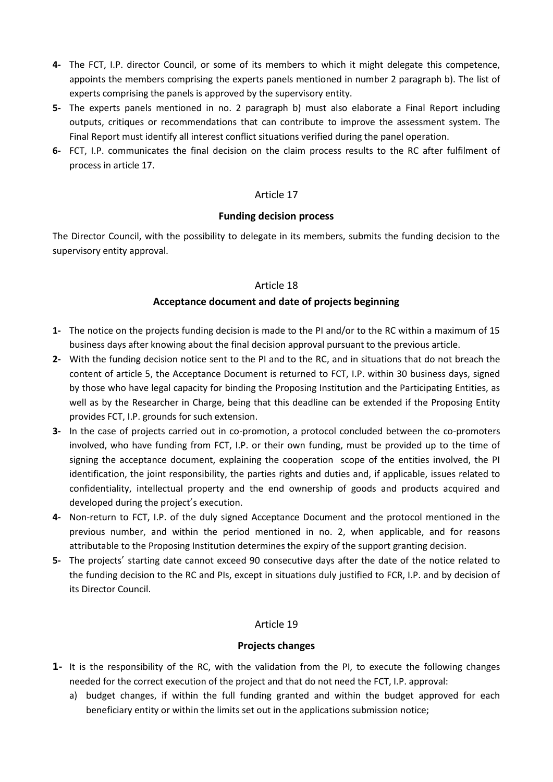- **4-** The FCT, I.P. director Council, or some of its members to which it might delegate this competence, appoints the members comprising the experts panels mentioned in number 2 paragraph b). The list of experts comprising the panels is approved by the supervisory entity.
- **5-** The experts panels mentioned in no. 2 paragraph b) must also elaborate a Final Report including outputs, critiques or recommendations that can contribute to improve the assessment system. The Final Report must identify all interest conflict situations verified during the panel operation.
- **6-** FCT, I.P. communicates the final decision on the claim process results to the RC after fulfilment of process in article 17.

#### **Funding decision process**

The Director Council, with the possibility to delegate in its members, submits the funding decision to the supervisory entity approval.

#### Article 18

## **Acceptance document and date of projects beginning**

- **1-** The notice on the projects funding decision is made to the PI and/or to the RC within a maximum of 15 business days after knowing about the final decision approval pursuant to the previous article.
- **2-** With the funding decision notice sent to the PI and to the RC, and in situations that do not breach the content of article 5, the Acceptance Document is returned to FCT, I.P. within 30 business days, signed by those who have legal capacity for binding the Proposing Institution and the Participating Entities, as well as by the Researcher in Charge, being that this deadline can be extended if the Proposing Entity provides FCT, I.P. grounds for such extension.
- **3-** In the case of projects carried out in co-promotion, a protocol concluded between the co-promoters involved, who have funding from FCT, I.P. or their own funding, must be provided up to the time of signing the acceptance document, explaining the cooperation scope of the entities involved, the PI identification, the joint responsibility, the parties rights and duties and, if applicable, issues related to confidentiality, intellectual property and the end ownership of goods and products acquired and developed during the project's execution.
- **4-** Non-return to FCT, I.P. of the duly signed Acceptance Document and the protocol mentioned in the previous number, and within the period mentioned in no. 2, when applicable, and for reasons attributable to the Proposing Institution determines the expiry of the support granting decision.
- **5-** The projects' starting date cannot exceed 90 consecutive days after the date of the notice related to the funding decision to the RC and PIs, except in situations duly justified to FCR, I.P. and by decision of its Director Council.

## Article 19

## **Projects changes**

- **1-** It is the responsibility of the RC, with the validation from the PI, to execute the following changes needed for the correct execution of the project and that do not need the FCT, I.P. approval:
	- a) budget changes, if within the full funding granted and within the budget approved for each beneficiary entity or within the limits set out in the applications submission notice;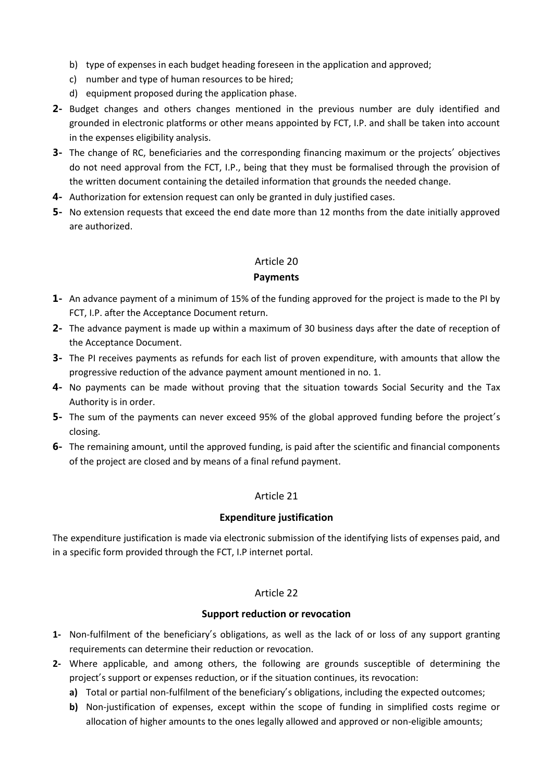- b) type of expenses in each budget heading foreseen in the application and approved;
- c) number and type of human resources to be hired;
- d) equipment proposed during the application phase.
- **2-** Budget changes and others changes mentioned in the previous number are duly identified and grounded in electronic platforms or other means appointed by FCT, I.P. and shall be taken into account in the expenses eligibility analysis.
- **3-** The change of RC, beneficiaries and the corresponding financing maximum or the projects' objectives do not need approval from the FCT, I.P., being that they must be formalised through the provision of the written document containing the detailed information that grounds the needed change.
- **4-** Authorization for extension request can only be granted in duly justified cases.
- **5-** No extension requests that exceed the end date more than 12 months from the date initially approved are authorized.

# Article 20 **Payments**

# **1-** An advance payment of a minimum of 15% of the funding approved for the project is made to the PI by FCT, I.P. after the Acceptance Document return.

- **2-** The advance payment is made up within a maximum of 30 business days after the date of reception of the Acceptance Document.
- **3-** The PI receives payments as refunds for each list of proven expenditure, with amounts that allow the progressive reduction of the advance payment amount mentioned in no. 1.
- **4-** No payments can be made without proving that the situation towards Social Security and the Tax Authority is in order.
- **5-** The sum of the payments can never exceed 95% of the global approved funding before the project's closing.
- **6-** The remaining amount, until the approved funding, is paid after the scientific and financial components of the project are closed and by means of a final refund payment.

## Article 21

## **Expenditure justification**

The expenditure justification is made via electronic submission of the identifying lists of expenses paid, and in a specific form provided through the FCT, I.P internet portal.

## Article 22

## **Support reduction or revocation**

- **1-** Non-fulfilment of the beneficiary's obligations, as well as the lack of or loss of any support granting requirements can determine their reduction or revocation.
- **2-** Where applicable, and among others, the following are grounds susceptible of determining the project's support or expenses reduction, or if the situation continues, its revocation:
	- **a)** Total or partial non-fulfilment of the beneficiary's obligations, including the expected outcomes;
	- **b)** Non-justification of expenses, except within the scope of funding in simplified costs regime or allocation of higher amounts to the ones legally allowed and approved or non-eligible amounts;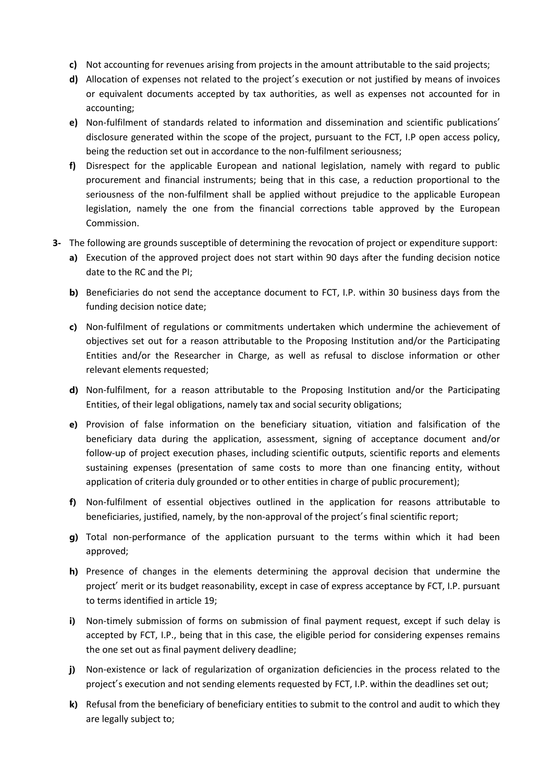- **c)** Not accounting for revenues arising from projects in the amount attributable to the said projects;
- **d)** Allocation of expenses not related to the project's execution or not justified by means of invoices or equivalent documents accepted by tax authorities, as well as expenses not accounted for in accounting;
- **e)** Non-fulfilment of standards related to information and dissemination and scientific publications' disclosure generated within the scope of the project, pursuant to the FCT, I.P open access policy, being the reduction set out in accordance to the non-fulfilment seriousness;
- **f)** Disrespect for the applicable European and national legislation, namely with regard to public procurement and financial instruments; being that in this case, a reduction proportional to the seriousness of the non-fulfilment shall be applied without prejudice to the applicable European legislation, namely the one from the financial corrections table approved by the European Commission.
- **3-** The following are grounds susceptible of determining the revocation of project or expenditure support:
	- **a)** Execution of the approved project does not start within 90 days after the funding decision notice date to the RC and the PI;
	- **b)** Beneficiaries do not send the acceptance document to FCT, I.P. within 30 business days from the funding decision notice date;
	- **c)** Non-fulfilment of regulations or commitments undertaken which undermine the achievement of objectives set out for a reason attributable to the Proposing Institution and/or the Participating Entities and/or the Researcher in Charge, as well as refusal to disclose information or other relevant elements requested;
	- **d)** Non-fulfilment, for a reason attributable to the Proposing Institution and/or the Participating Entities, of their legal obligations, namely tax and social security obligations;
	- **e)** Provision of false information on the beneficiary situation, vitiation and falsification of the beneficiary data during the application, assessment, signing of acceptance document and/or follow-up of project execution phases, including scientific outputs, scientific reports and elements sustaining expenses (presentation of same costs to more than one financing entity, without application of criteria duly grounded or to other entities in charge of public procurement);
	- **f)** Non-fulfilment of essential objectives outlined in the application for reasons attributable to beneficiaries, justified, namely, by the non-approval of the project's final scientific report;
	- **g)** Total non-performance of the application pursuant to the terms within which it had been approved;
	- **h)** Presence of changes in the elements determining the approval decision that undermine the project' merit or its budget reasonability, except in case of express acceptance by FCT, I.P. pursuant to terms identified in article 19;
	- **i)** Non-timely submission of forms on submission of final payment request, except if such delay is accepted by FCT, I.P., being that in this case, the eligible period for considering expenses remains the one set out as final payment delivery deadline;
	- **j)** Non-existence or lack of regularization of organization deficiencies in the process related to the project's execution and not sending elements requested by FCT, I.P. within the deadlines set out;
	- **k)** Refusal from the beneficiary of beneficiary entities to submit to the control and audit to which they are legally subject to;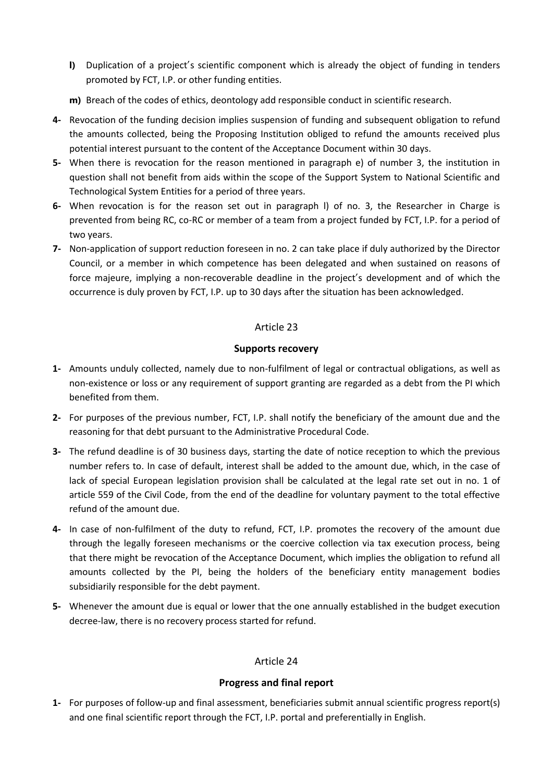- **l)** Duplication of a project's scientific component which is already the object of funding in tenders promoted by FCT, I.P. or other funding entities.
- **m)** Breach of the codes of ethics, deontology add responsible conduct in scientific research.
- **4-** Revocation of the funding decision implies suspension of funding and subsequent obligation to refund the amounts collected, being the Proposing Institution obliged to refund the amounts received plus potential interest pursuant to the content of the Acceptance Document within 30 days.
- **5-** When there is revocation for the reason mentioned in paragraph e) of number 3, the institution in question shall not benefit from aids within the scope of the Support System to National Scientific and Technological System Entities for a period of three years.
- **6-** When revocation is for the reason set out in paragraph l) of no. 3, the Researcher in Charge is prevented from being RC, co-RC or member of a team from a project funded by FCT, I.P. for a period of two years.
- **7-** Non-application of support reduction foreseen in no. 2 can take place if duly authorized by the Director Council, or a member in which competence has been delegated and when sustained on reasons of force majeure, implying a non-recoverable deadline in the project's development and of which the occurrence is duly proven by FCT, I.P. up to 30 days after the situation has been acknowledged.

## **Supports recovery**

- **1-** Amounts unduly collected, namely due to non-fulfilment of legal or contractual obligations, as well as non-existence or loss or any requirement of support granting are regarded as a debt from the PI which benefited from them.
- **2-** For purposes of the previous number, FCT, I.P. shall notify the beneficiary of the amount due and the reasoning for that debt pursuant to the Administrative Procedural Code.
- **3-** The refund deadline is of 30 business days, starting the date of notice reception to which the previous number refers to. In case of default, interest shall be added to the amount due, which, in the case of lack of special European legislation provision shall be calculated at the legal rate set out in no. 1 of article 559 of the Civil Code, from the end of the deadline for voluntary payment to the total effective refund of the amount due.
- **4-** In case of non-fulfilment of the duty to refund, FCT, I.P. promotes the recovery of the amount due through the legally foreseen mechanisms or the coercive collection via tax execution process, being that there might be revocation of the Acceptance Document, which implies the obligation to refund all amounts collected by the PI, being the holders of the beneficiary entity management bodies subsidiarily responsible for the debt payment.
- **5-** Whenever the amount due is equal or lower that the one annually established in the budget execution decree-law, there is no recovery process started for refund.

## Article 24

# **Progress and final report**

**1-** For purposes of follow-up and final assessment, beneficiaries submit annual scientific progress report(s) and one final scientific report through the FCT, I.P. portal and preferentially in English.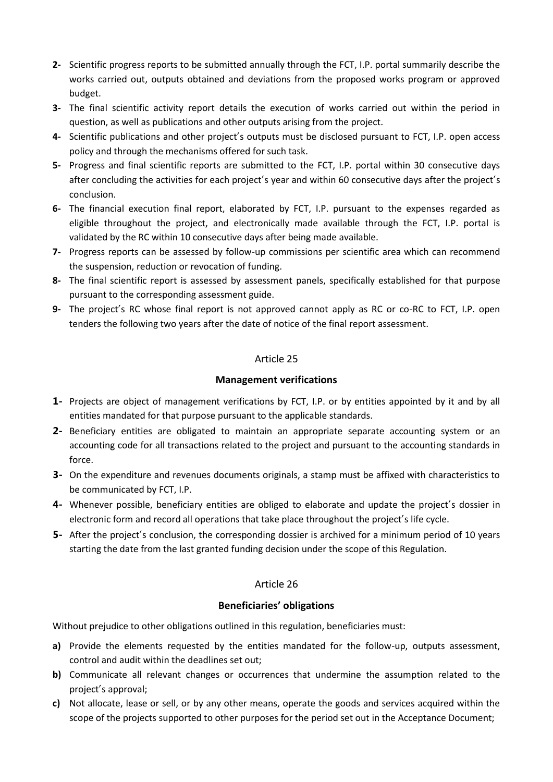- **2-** Scientific progress reports to be submitted annually through the FCT, I.P. portal summarily describe the works carried out, outputs obtained and deviations from the proposed works program or approved budget.
- **3-** The final scientific activity report details the execution of works carried out within the period in question, as well as publications and other outputs arising from the project.
- **4-** Scientific publications and other project's outputs must be disclosed pursuant to FCT, I.P. open access policy and through the mechanisms offered for such task.
- **5-** Progress and final scientific reports are submitted to the FCT, I.P. portal within 30 consecutive days after concluding the activities for each project's year and within 60 consecutive days after the project's conclusion.
- **6-** The financial execution final report, elaborated by FCT, I.P. pursuant to the expenses regarded as eligible throughout the project, and electronically made available through the FCT, I.P. portal is validated by the RC within 10 consecutive days after being made available.
- **7-** Progress reports can be assessed by follow-up commissions per scientific area which can recommend the suspension, reduction or revocation of funding.
- **8-** The final scientific report is assessed by assessment panels, specifically established for that purpose pursuant to the corresponding assessment guide.
- **9-** The project's RC whose final report is not approved cannot apply as RC or co-RC to FCT, I.P. open tenders the following two years after the date of notice of the final report assessment.

## **Management verifications**

- **1-** Projects are object of management verifications by FCT, I.P. or by entities appointed by it and by all entities mandated for that purpose pursuant to the applicable standards.
- **2-** Beneficiary entities are obligated to maintain an appropriate separate accounting system or an accounting code for all transactions related to the project and pursuant to the accounting standards in force.
- **3-** On the expenditure and revenues documents originals, a stamp must be affixed with characteristics to be communicated by FCT, I.P.
- **4-** Whenever possible, beneficiary entities are obliged to elaborate and update the project's dossier in electronic form and record all operations that take place throughout the project's life cycle.
- **5-** After the project's conclusion, the corresponding dossier is archived for a minimum period of 10 years starting the date from the last granted funding decision under the scope of this Regulation.

## Article 26

## **Beneficiaries' obligations**

Without prejudice to other obligations outlined in this regulation, beneficiaries must:

- **a)** Provide the elements requested by the entities mandated for the follow-up, outputs assessment, control and audit within the deadlines set out;
- **b)** Communicate all relevant changes or occurrences that undermine the assumption related to the project's approval;
- **c)** Not allocate, lease or sell, or by any other means, operate the goods and services acquired within the scope of the projects supported to other purposes for the period set out in the Acceptance Document;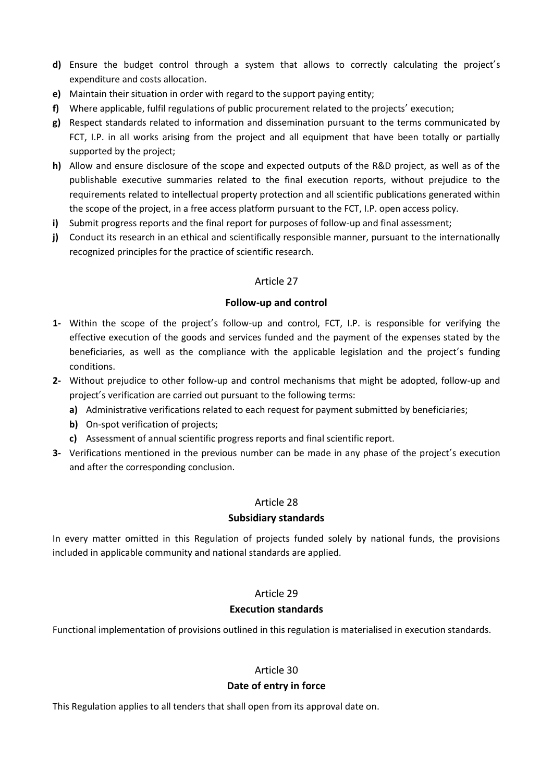- **d)** Ensure the budget control through a system that allows to correctly calculating the project's expenditure and costs allocation.
- **e)** Maintain their situation in order with regard to the support paying entity;
- **f)** Where applicable, fulfil regulations of public procurement related to the projects' execution;
- **g)** Respect standards related to information and dissemination pursuant to the terms communicated by FCT, I.P. in all works arising from the project and all equipment that have been totally or partially supported by the project;
- **h)** Allow and ensure disclosure of the scope and expected outputs of the R&D project, as well as of the publishable executive summaries related to the final execution reports, without prejudice to the requirements related to intellectual property protection and all scientific publications generated within the scope of the project, in a free access platform pursuant to the FCT, I.P. open access policy.
- **i)** Submit progress reports and the final report for purposes of follow-up and final assessment;
- **j)** Conduct its research in an ethical and scientifically responsible manner, pursuant to the internationally recognized principles for the practice of scientific research.

#### **Follow-up and control**

- **1-** Within the scope of the project's follow-up and control, FCT, I.P. is responsible for verifying the effective execution of the goods and services funded and the payment of the expenses stated by the beneficiaries, as well as the compliance with the applicable legislation and the project's funding conditions.
- **2-** Without prejudice to other follow-up and control mechanisms that might be adopted, follow-up and project's verification are carried out pursuant to the following terms:
	- **a)** Administrative verifications related to each request for payment submitted by beneficiaries;
	- **b)** On-spot verification of projects;
	- **c)** Assessment of annual scientific progress reports and final scientific report.
- **3-** Verifications mentioned in the previous number can be made in any phase of the project's execution and after the corresponding conclusion.

## Article 28

## **Subsidiary standards**

In every matter omitted in this Regulation of projects funded solely by national funds, the provisions included in applicable community and national standards are applied.

## Article 29

## **Execution standards**

Functional implementation of provisions outlined in this regulation is materialised in execution standards.

# Article 30

## **Date of entry in force**

This Regulation applies to all tenders that shall open from its approval date on.